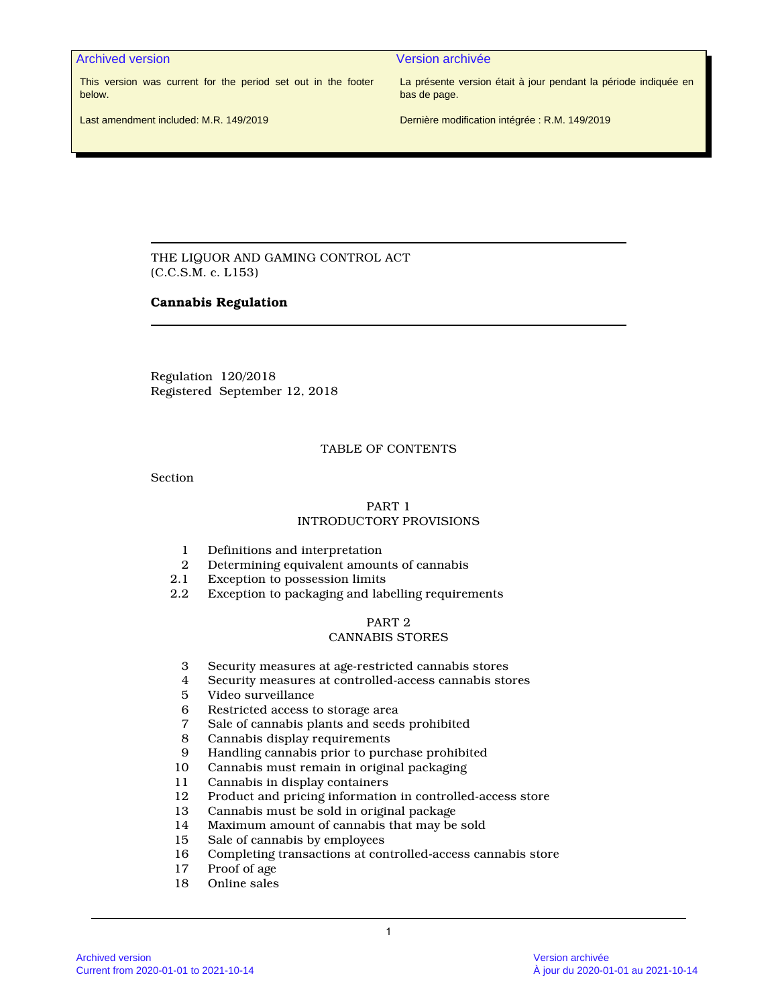Archived version Version archivée

This version was current for the period set out in the footer below.

La présente version était à jour pendant la période indiquée en bas de page.

Last amendment included: M.R. 149/2019

Dernière modification intégrée : R.M. 149/2019

THE LIQUOR AND GAMING CONTROL ACT (C.C.S.M. c. L153)

# **Cannabis Regulation**

Regulation 120/2018 Registered September 12, 2018

# TABLE OF CONTENTS

**Section** 

# PART 1 INTRODUCTORY PROVISIONS

- 1 Definitions and interpretation<br>2 Determining equivalent amoun
- 2 Determining equivalent amounts of cannabis<br>2.1 Exception to possession limits
- Exception to possession limits
- 2.2 Exception to packaging and labelling requirements

#### PART 2 CANNABIS STORES

- 3 Security measures at age-restricted cannabis stores
- 4 Security measures at controlled-access cannabis stores
- 5 Video surveillance
- 6 Restricted access to storage area<br>7 Sale of cannabis plants and seeds
- Sale of cannabis plants and seeds prohibited
- 8 Cannabis display requirements
- 9 Handling cannabis prior to purchase prohibited
- Cannabis must remain in original packaging
- 11 Cannabis in display containers<br>12 Product and pricing information
- Product and pricing information in controlled-access store
- 13 Cannabis must be sold in original package
- 14 Maximum amount of cannabis that may be sold<br>15 Sale of cannabis by employees
- 15 Sale of cannabis by employees<br>16 Completing transactions at cor
- Completing transactions at controlled-access cannabis store
- 17 Proof of age<br>18 Online sales
- Online sales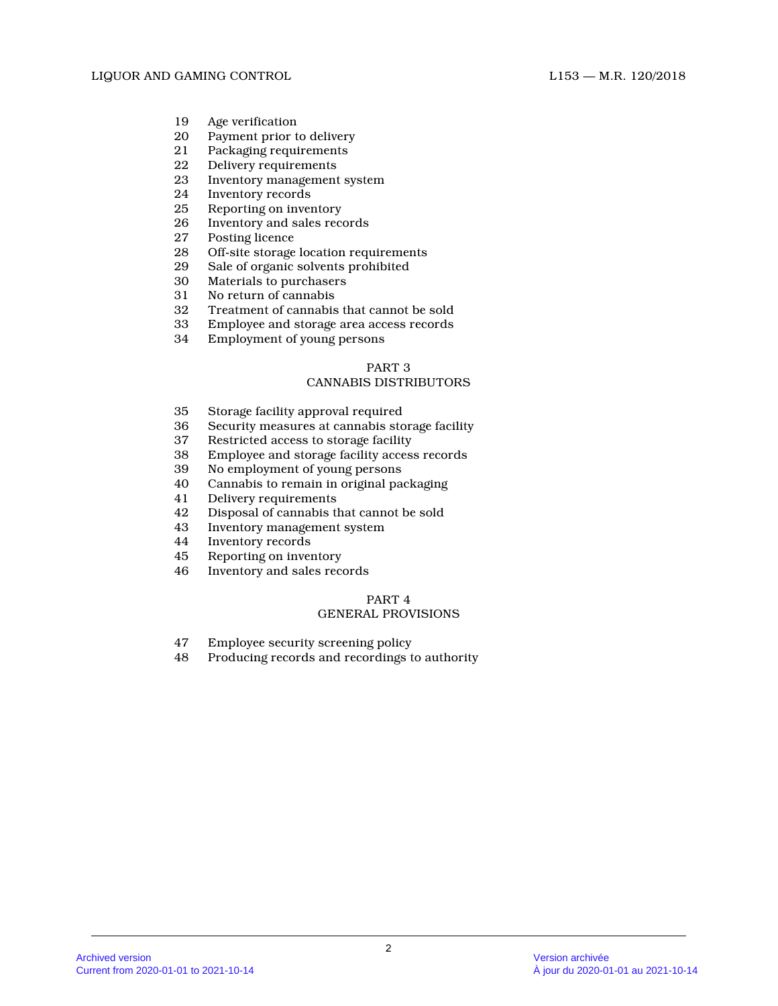- 19 Age verification<br>20 Payment prior to
- Payment prior to delivery
- 21 Packaging requirements
- 22 Delivery requirements<br>23 Inventory management
- Inventory management system
- 24 Inventory records<br>25 Reporting on inver
- 25 Reporting on inventory<br>26 Inventory and sales rec
- Inventory and sales records
- 27 Posting licence<br>28 Off-site storage
- 28 Off-site storage location requirements<br>29 Sale of organic solvents prohibited
- 29 Sale of organic solvents prohibited<br>30 Materials to purchasers
- Materials to purchasers
- 31 No return of cannabis
- 32 Treatment of cannabis that cannot be sold
- 33 Employee and storage area access records
- 34 Employment of young persons

# CANNABIS DISTRIBUTORS

- 35 Storage facility approval required<br>36 Security measures at cannabis sto
- 36 Security measures at cannabis storage facility
- Restricted access to storage facility
- 38 Employee and storage facility access records
- 39 No employment of young persons
- 40 Cannabis to remain in original packaging
- Delivery requirements
- 42 Disposal of cannabis that cannot be sold
- 43 Inventory management system<br>44 Inventory records
- Inventory records
- 45 Reporting on inventory
- 46 Inventory and sales records

# PART 4

# GENERAL PROVISIONS

- 47 Employee security screening policy
- 48 Producing records and recordings to authority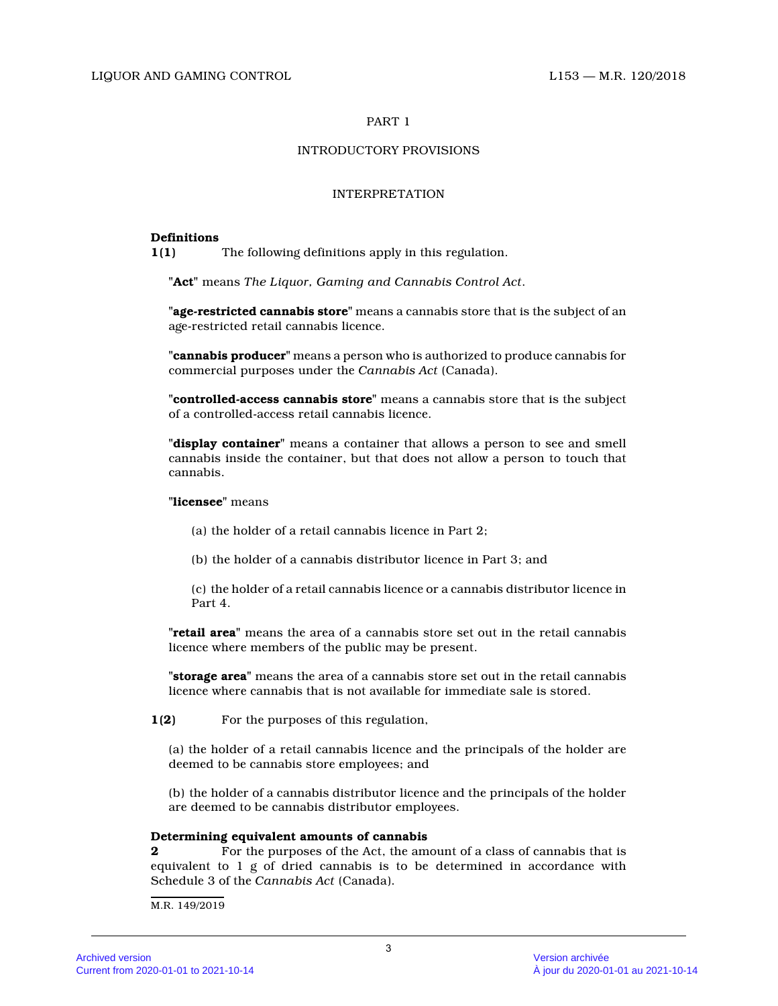# INTRODUCTORY PROVISIONS

# INTERPRETATION

# **Definitions**

**1(1)** The following definitions apply in this regulation.

**"Act"** means *The Liquor, Gaming and Cannabis Control Act* .

**"age-restricted cannabis store"** means a cannabis store that is the subject of an age-restricted retail cannabis licence.

**"cannabis producer"** means a person who is authorized to produce cannabis for commercial purposes under the *Cannabis Act* (Canada).

**"controlled-access cannabis store"** means a cannabis store that is the subject of a controlled-access retail cannabis licence.

**"display container"** means a container that allows a person to see and smell cannabis inside the container, but that does not allow a person to touch that cannabis.

# **"licensee"** means

(a) the holder of a retail cannabis licence in Part 2;

(b) the holder of a cannabis distributor licence in Part 3; and

(c) the holder of a retail cannabis licence or a cannabis distributor licence in Part 4.

**"retail area"** means the area of a cannabis store set out in the retail cannabis licence where members of the public may be present.

**"storage area"** means the area of a cannabis store set out in the retail cannabis licence where cannabis that is not available for immediate sale is stored.

**1(2)** For the purposes of this regulation,

(a) the holder of a retail cannabis licence and the principals of the holder are deemed to be cannabis store employees; and

(b) the holder of a cannabis distributor licence and the principals of the holder are deemed to be cannabis distributor employees.

# **Determining equivalent amounts of cannabis**

**2 Posisfy** For the purposes of the Act, the amount of a class of cannabis that is equivalent to 1 g of dried cannabis is to be determined in accordance with Schedule 3 of the *Cannabis Act* (Canada).

M.R. 149/2019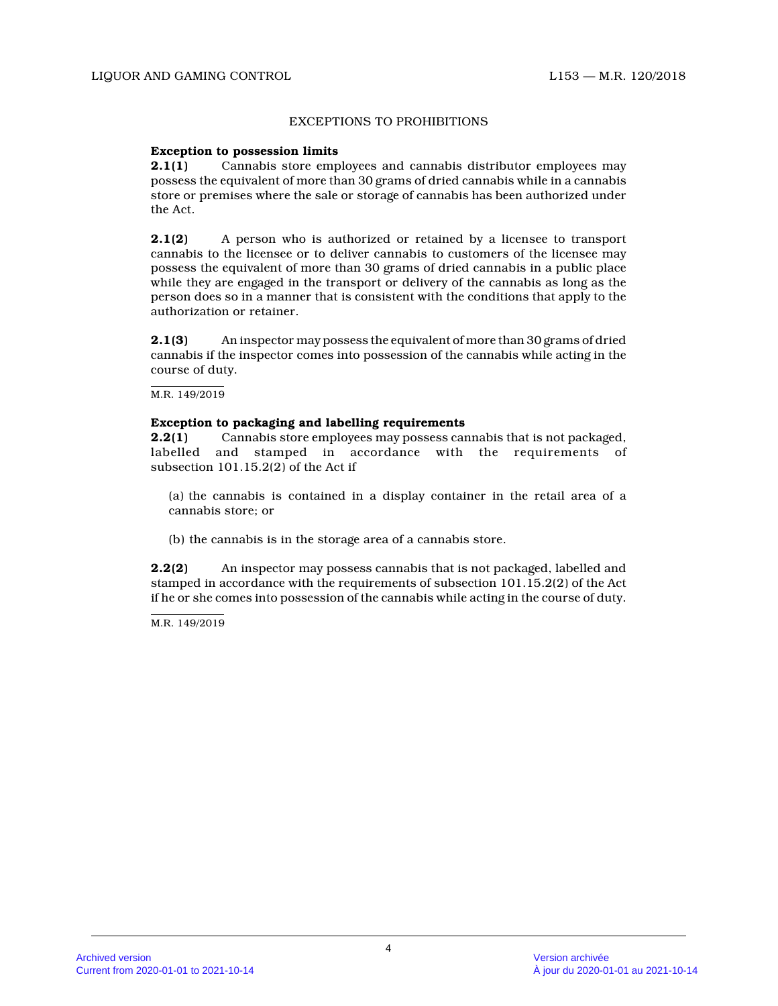# EXCEPTIONS TO PROHIBITIONS

# **Exception to possession limits**

**2.1(1)** Cannabis store employees and cannabis distributor employees may possess the equivalent of more than 30 grams of dried cannabis while in a cannabis store or premises where the sale or storage of cannabis has been authorized under the Act.

**2.1(2)** A person who is authorized or retained by a licensee to transport cannabis to the licensee or to deliver cannabis to customers of the licensee may possess the equivalent of more than 30 grams of dried cannabis in a public place while they are engaged in the transport or delivery of the cannabis as long as the person does so in a manner that is consistent with the conditions that apply to the authorization or retainer.

**2.1(3)** An inspector may possess the equivalent of more than 30 grams of dried cannabis if the inspector comes into possession of the cannabis while acting in the course of duty.

M.R. 149/2019

# **Exception to packaging and labelling requirements**

**2.2(1)** Cannabis store employees may possess cannabis that is not packaged, labelled and stamped in accordance with the requirements of subsection 101.15.2(2) of the Act if

- (a) the cannabis is contained in a display container in the retail area of a cannabis store; or
- (b) the cannabis is in the storage area of a cannabis store.

**2.2(2)** An inspector may possess cannabis that is not packaged, labelled and stamped in accordance with the requirements of subsection 101.15.2(2) of the Act if he or she comes into possession of the cannabis while acting in the course of duty.

M.R. 149/2019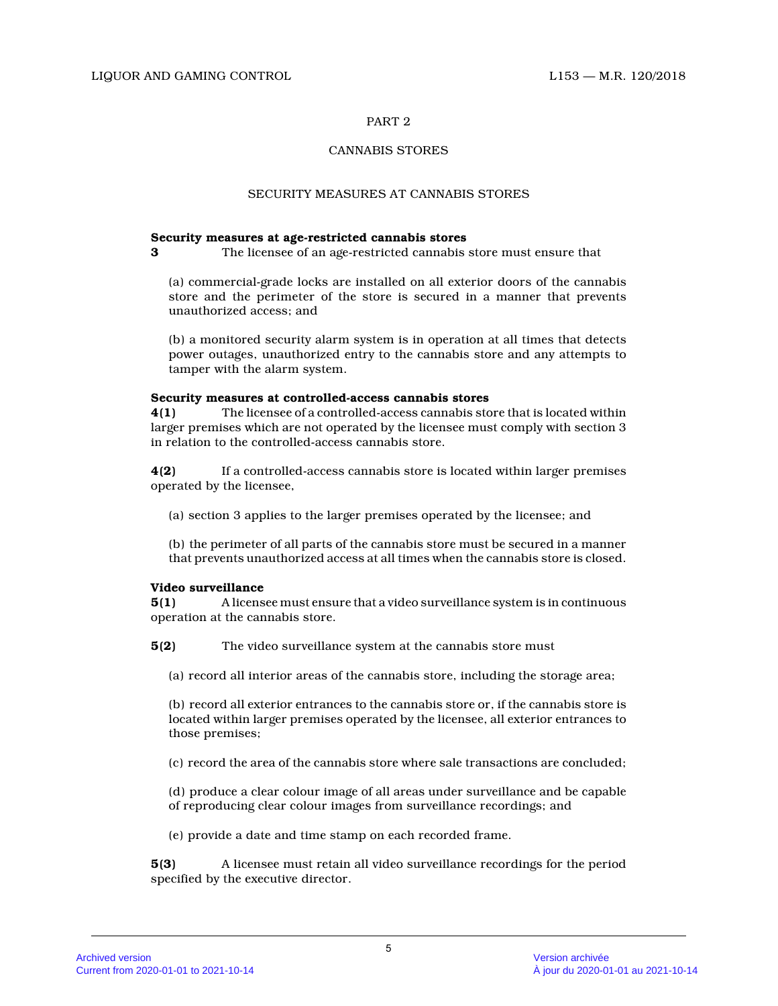# CANNABIS STORES

# SECURITY MEASURES AT CANNABIS STORES

# **Security measures at age-restricted cannabis stores**

**3** The licensee of an age-restricted cannabis store must ensure that

(a) commercial-grade locks are installed on all exterior doors of the cannabis store and the perimeter of the store is secured in a manner that prevents unauthorized access; and

(b) a monitored security alarm system is in operation at all times that detects power outages, unauthorized entry to the cannabis store and any attempts to tamper with the alarm system.

# **Security measures at controlled-access cannabis stores**

**4(1)** The licensee of a controlled-access cannabis store that is located within larger premises which are not operated by the licensee must comply with section 3 in relation to the controlled-access cannabis store .

**4(2)** If a controlled-access cannabis store is located within larger premises operated by the licensee,

(a) section 3 applies to the larger premises operated by the licensee; and

(b) the perimeter of all parts of the cannabis store must be secured in a manner that prevents unauthorized access at all times when the cannabis store is closed.

# **Video surveillance**

**5(1)** A licensee must ensure that a video surveillance system is in continuous operation at the cannabis store.

**5(2)** The video surveillance system at the cannabis store must

(a) record all interior areas of the cannabis store, including the storage area;

(b) record all exterior entrances to the cannabis store or, if the cannabis store is located within larger premises operated by the licensee, all exterior entrances to those premises;

(c) record the area of the cannabis store where sale transactions are concluded;

(d) produce a clear colour image of all areas under surveillance and be capable of reproducing clear colour images from surveillance recordings; and

(e) provide a date and time stamp on each recorded frame.

**5(3)** A licensee must retain all video surveillance recordings for the period specified by the executive director.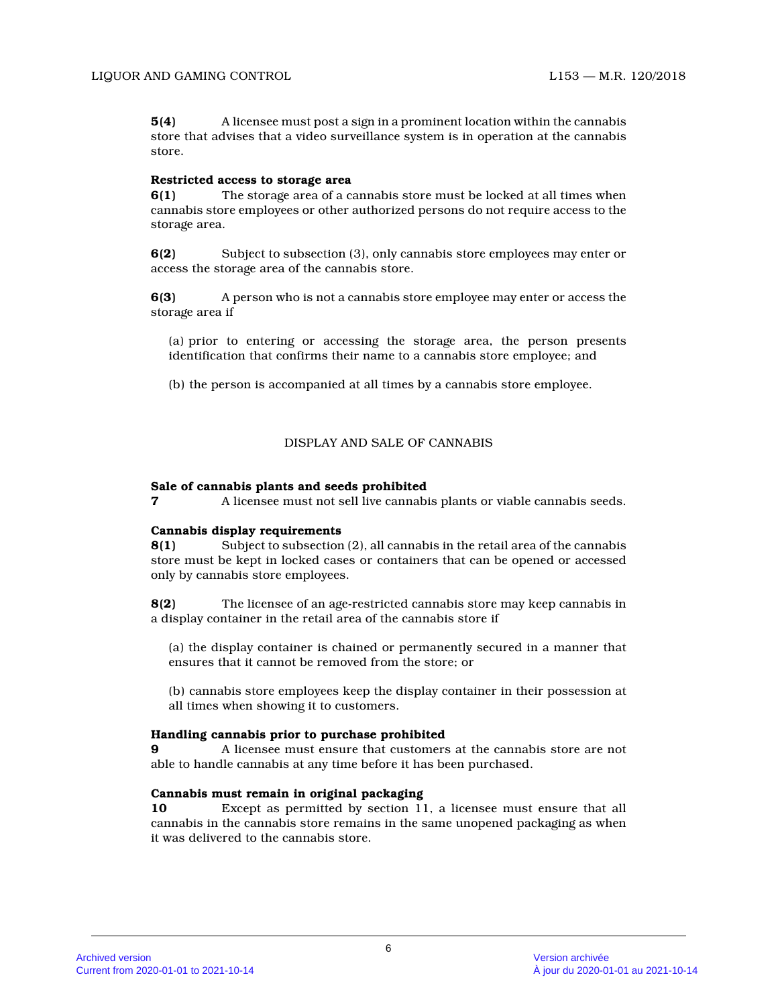**5(4)** A licensee must post a sign in a prominent location within the cannabis store that advises that a video surveillance system is in operation at the cannabis store.

# **Restricted access to storage area**

**6(1)** The storage area of a cannabis store must be locked at all times when cannabis store employees or other authorized persons do not require access to the storage area.

**6(2)** Subject to subsection (3), only cannabis store employees may enter or access the storage area of the cannabis store.

**6(3)** A person who is not a cannabis store employee may enter or access the storage area if

(a) prior to entering or accessing the storage area, the person presents identification that confirms their name to a cannabis store employee; and

(b) the person is accompanied at all times by a cannabis store employee.

# DISPLAY AND SALE OF CANNABIS

# **Sale of cannabis plants and seeds prohibited**

**7** A licensee must not sell live cannabis plants or viable cannabis seeds.

# **Cannabis display requirements**

**8(1)** Subject to subsection (2), all cannabis in the retail area of the cannabis store must be kept in locked cases or containers that can be opened or accessed only by cannabis store employees.

**8(2)** The licensee of an age-restricted cannabis store may keep cannabis in a display container in the retail area of the cannabis store if

(a) the display container is chained or permanently secured in a manner that ensures that it cannot be removed from the store; o r

(b) cannabis store employees keep the display container in their possession at all times when showing it to customers.

# **Handling cannabis prior to purchase prohibited**

**9** A licensee must ensure that customers at the cannabis store are not able to handle cannabis at any time before it has been purchased.

# **Cannabis must remain in original packaging**

**10** Except as permitted by section 11, a licensee must ensure that all cannabis in the cannabis store remains in the same unopened packaging as when it was delivered to the cannabis store.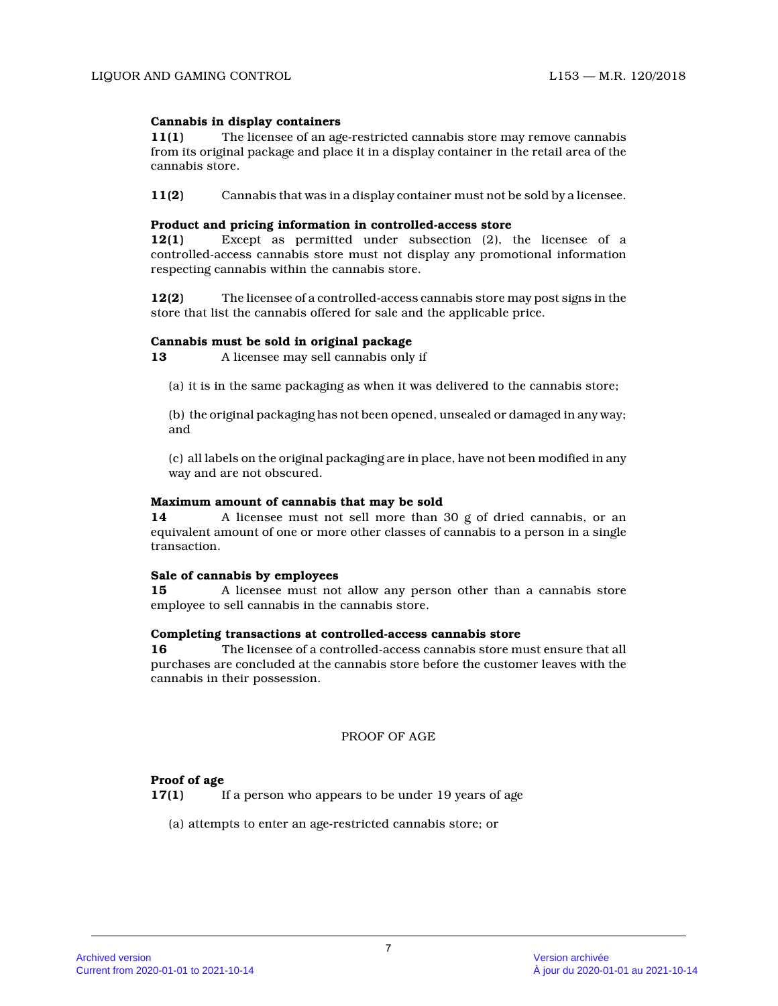# **Cannabis in display containers**

**11(1)** The licensee of an age-restricted cannabis store may remove cannabis from its original package and place it in a display container in the retail area of the cannabis store.

**11(2)** Cannabis that was in a display container must not be sold by a licensee.

# **Product and pricing information in controlled-access store**

**12(1)** Except as permitted under subsection (2), the licensee of a controlled-access cannabis store must not display any promotional information respecting cannabis within the cannabis store.

**12(2)** The licensee of a controlled-access cannabis store may post signs in the store that list the cannabis offered for sale and the applicable price.

# **Cannabis must be sold in original package**

**13** A licensee may sell cannabis only if

(a) it is in the same packaging as when it was delivered to the cannabis store;

(b) the original packaging has not been opened, unsealed or damaged in any way; and

(c) all labels on the original packaging are in place, have not been modified in any way and are not obscured.

# **Maximum amount of cannabis that may be sold**

**14** A licensee must not sell more than 30 g of dried cannabis, or an equivalent amount of one or more other classes of cannabis to a person in a single transaction.

# **Sale of cannabis by employees**

**15** A licensee must not allow any person other than a cannabis store employee to sell cannabis in the cannabis store.

# **Completing transactions at controlled-access cannabis store**

**16** The licensee of a controlled-access cannabis store must ensure that all purchases are concluded at the cannabis store before the customer leaves with the cannabis in their possession.

PROOF OF AGE

# **Proof of age**

**17(1)** If a person who appears to be under 19 years of age

(a) attempts to enter an age-restricted cannabis store; or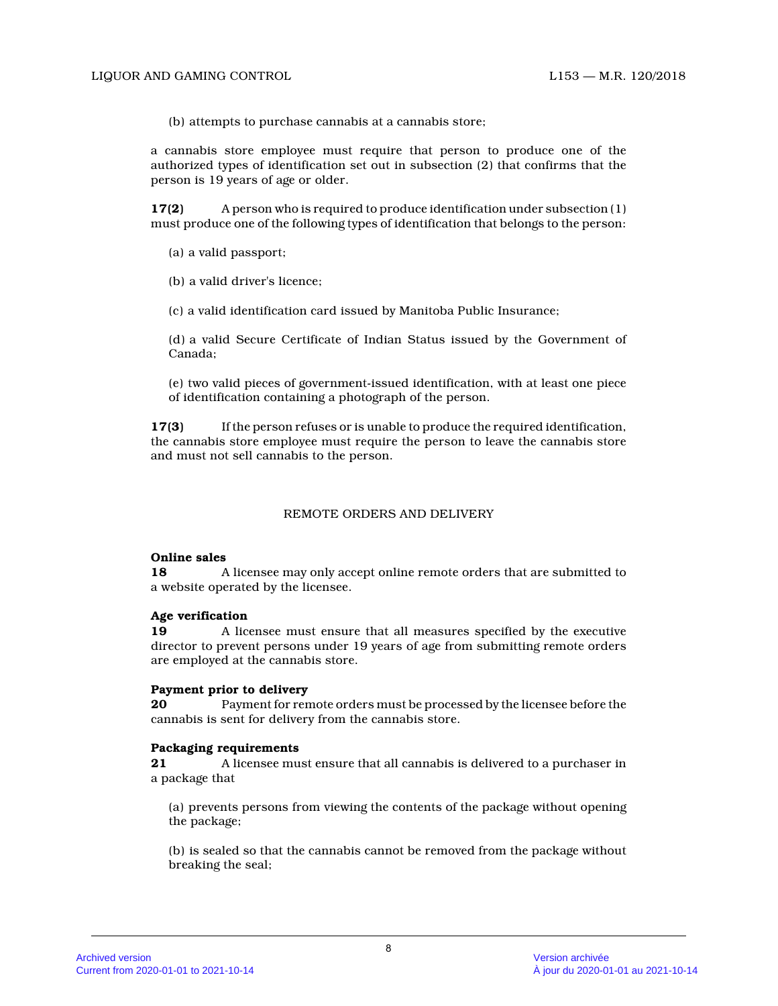(b) attempts to purchase cannabis at a cannabis store;

a cannabis store employee must require that person to produce one of the authorized types of identification set out in subsection (2) that confirms that the person is 19 years of age or older.

**17(2)** A person who is required to produce identification under subsection (1) must produce one of the following types of identification that belongs to the person:

(a) a valid passport;

(b) a valid driver's licence;

(c) a valid identification card issued by Manitoba Public Insurance;

(d) a valid Secure Certificate of Indian Status issued by the Government of Canada;

(e) two valid pieces of government-issued identification, with at least one piece of identification containing a photograph of the person.

**17(3)** If the person refuses or is unable to produce the required identification, the cannabis store employee must require the person to leave the cannabis store and must not sell cannabis to the person.

# REMOTE ORDERS AND DELIVERY

#### **Online sales**

**18** A licensee may only accept online remote orders that are submitted to a website operated by the licensee.

# **Age verification**

**19** A licensee must ensure that all measures specified by the executive director to prevent persons under 19 years of age from submitting remote orders are employed at the cannabis store.

#### **Payment prior to delivery**

**20** Payment for remote orders must be processed by the licensee before the cannabis is sent for delivery from the cannabis store.

#### **Packaging requirements**

**21** A licensee must ensure that all cannabis is delivered to a purchaser in a package that

(a) prevents persons from viewing the contents of the package without opening the package;

(b) is sealed so that the cannabis cannot be removed from the package without breaking the seal;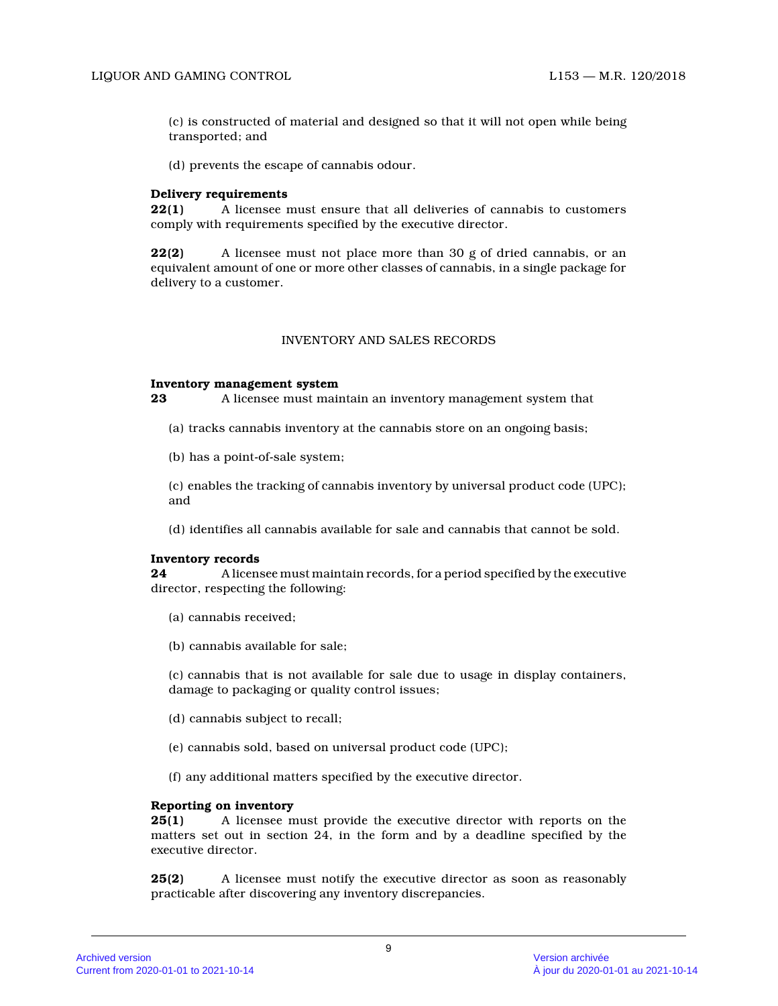(c) is constructed of material and designed so that it will not open while being transported; and

(d) prevents the escape of cannabis odour.

### **Delivery requirements**

**22(1)** A licensee must ensure that all deliveries of cannabis to customers comply with requirements specified by the executive director.

**22(2)** A licensee must not place more than 30 g of dried cannabis, or an equivalent amount of one or more other classes of cannabis, in a single package for delivery to a customer.

## INVENTORY AND SALES RECORDS

### **Inventory management system**

**23** A licensee must maintain an inventory management system that

- (a) tracks cannabis inventory at the cannabis store on an ongoing basis;
- (b) has a point-of-sale system;

(c) enables the tracking of cannabis inventory by universal product code (UPC); and

(d) identifies all cannabis available for sale and cannabis that cannot be sold.

#### **Inventory records**

**24** A licensee must maintain records, for a period specified by the executive director, respecting the following:

- (a) cannabis received;
- (b) cannabis available for sale;

(c) cannabis that is not available for sale due to usage in display containers, damage to packaging or quality control issues;

- (d) cannabis subject to recall;
- (e) cannabis sold, based on universal product code (UPC);
- (f) any additional matters specified by the executive director.

# **Reporting on inventory**

**25(1)** A licensee must provide the executive director with reports on the matters set out in section 24, in the form and by a deadline specified by the executive director.

**25(2)** A licensee must notify the executive director as soon as reasonably practicable after discovering any inventory discrepancies.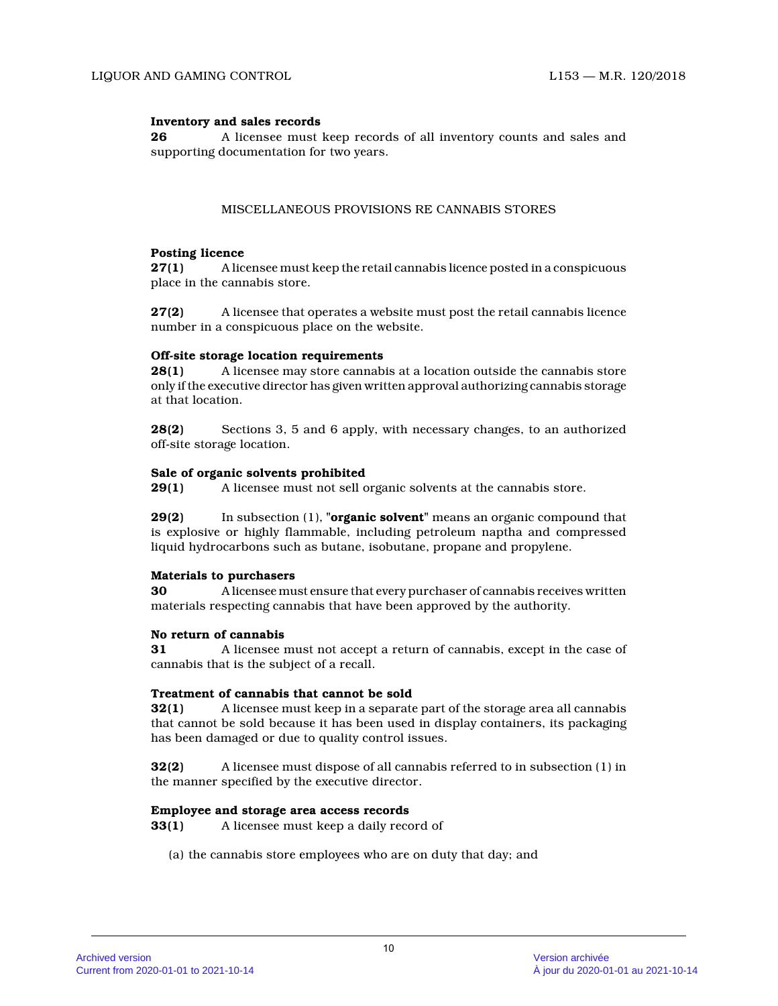# **Inventory and sales records**

**26** A licensee must keep records of all inventory counts and sales and supporting documentation for two years.

# MISCELLANEOUS PROVISIONS RE CANNABIS STORES

# **Posting licence**

**27(1)** A licensee must keep the retail cannabis licence posted in a conspicuous place in the cannabis store.

**27(2)** A licensee that operates a website must post the retail cannabis licence number in a conspicuous place on the website.

# **Off-site storage location requirements**

**28(1)** A licensee may store cannabis at a location outside the cannabis store only if the executive director has given written approval authorizing cannabis storage at that location.

**28(2)** Sections 3, 5 and 6 apply, with necessary changes, to an authorized off-site storage location.

# **Sale of organic solvents prohibited**

**29(1)** A licensee must not sell organic solvents at the cannabis store.

**29(2)** In subsection (1), **"organic solvent"** means an organic compound that is explosive or highly flammable, including petroleum naptha and compressed liquid hydrocarbons such as butane, isobutane, propane and propylene.

# **Materials to purchasers**

**30** A licensee must ensure that every purchaser of cannabis receives written materials respecting cannabis that have been approved by the authority.

# **No return of cannabis**

**31** A licensee must not accept a return of cannabis, except in the case of cannabis that is the subject of a recall.

# **Treatment of cannabis that cannot be sold**

**32(1)** A licensee must keep in a separate part of the storage area all cannabis that cannot be sold because it has been used in display containers, its packaging has been damaged or due to quality control issues.

**32(2)** A licensee must dispose of all cannabis referred to in subsection (1) in the manner specified by the executive director.

# **Employee and storage area access records**

**33(1)** A licensee must keep a daily record of

(a) the cannabis store employees who are on duty that day; and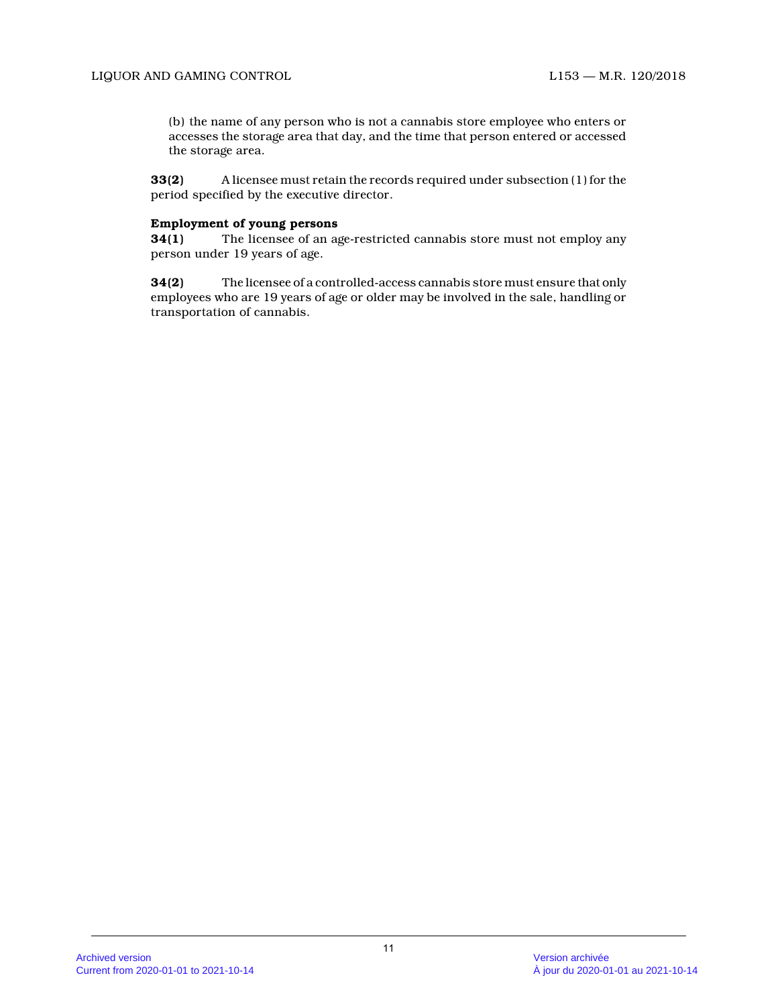(b) the name of any person who is not a cannabis store employee who enters or accesses the storage area that day, and the time that person entered or accessed the storage area.

**33(2)** A licensee must retain the records required under subsection (1) for the period specified by the executive director.

# **Employment of young persons**

**34(1)** The licensee of an age-restricted cannabis store must not employ any person under 19 years of age.

**34(2)** The licensee of a controlled-access cannabis store must ensure that only employees who are 19 years of age or older may be involved in the sale, handling or transportation of cannabis.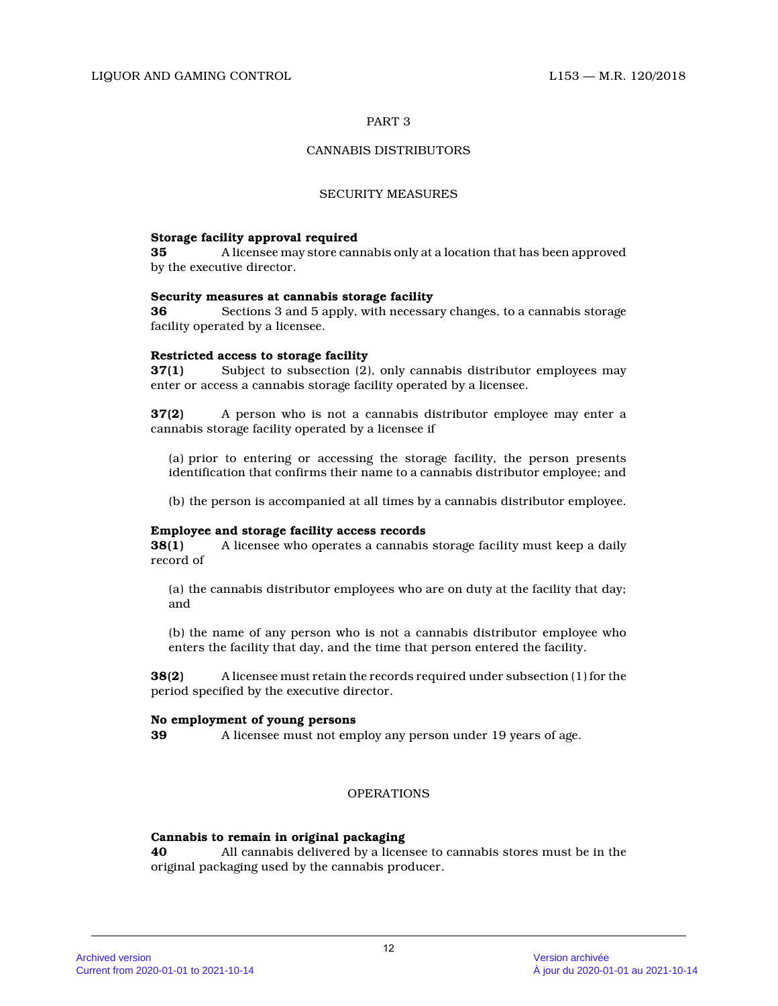# CANNABIS DISTRIBUTORS

## SECURITY MEASURES

# **Storage facility approval required**

**35** A licensee may store cannabis only at a location that has been approved by the executive director.

### **Security measures at cannabis storage facility**

**36** Sections 3 and 5 apply, with necessary changes, to a cannabis storage facility operated by a licensee.

# **Restricted access to storage facility**

**37(1)** Subject to subsection (2), only cannabis distributor employees may enter or access a cannabis storage facility operated by a licensee.

**37(2)** A person who is not a cannabis distributor employee may enter a cannabis storage facility operated by a licensee if

(a) prior to entering or accessing the storage facility, the person presents identification that confirms their name to a cannabis distributor employee; and

(b) the person is accompanied at all times by a cannabis distributor employee.

# **Employee and storage facility access records**

**38(1)** A licensee who operates a cannabis storage facility must keep a daily record of

(a) the cannabis distributor employees who are on duty at the facility that day; and

(b) the name of any person who is not a cannabis distributor employee who enters the facility that day, and the time that person entered the facility.

**38(2)** A licensee must retain the records required under subsection (1) for the period specified by the executive director.

# **No employment of young persons**

**39** A licensee must not employ any person under 19 years of age.

# OPERATIONS

# **Cannabis to remain in original packaging**

**40** All cannabis delivered by a licensee to cannabis stores must be in the original packaging used by the cannabis producer.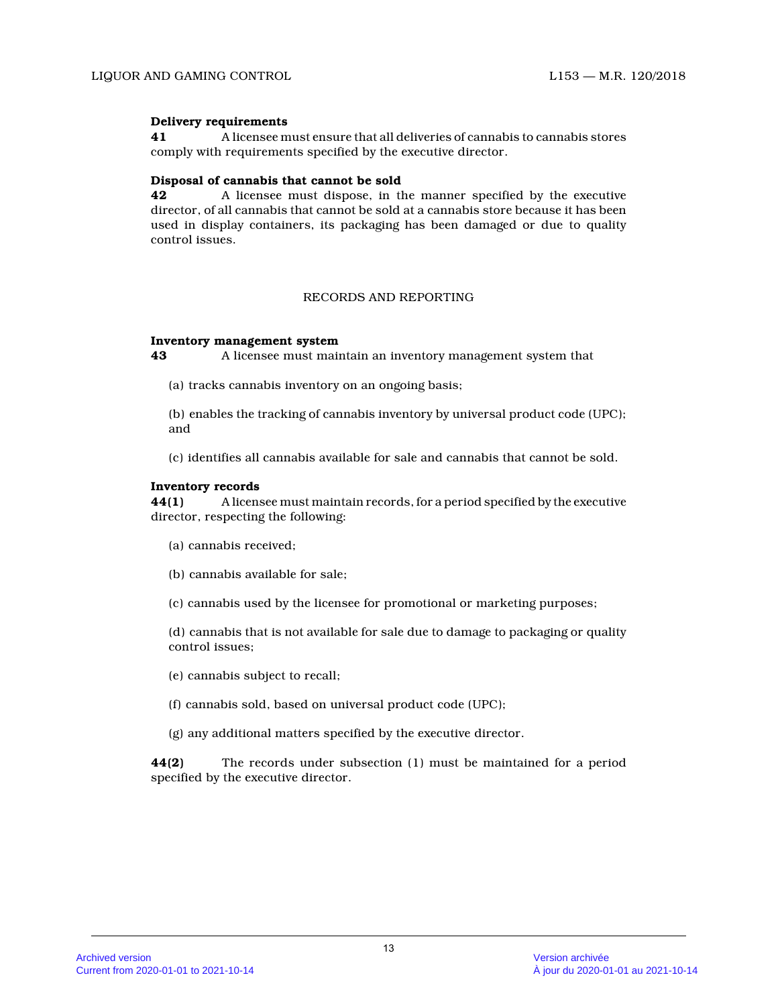# **Delivery requirements**

**41** A licensee must ensure that all deliveries of cannabis to cannabis stores comply with requirements specified by the executive director.

# **Disposal of cannabis that cannot be sold**

**42** A licensee must dispose, in the manner specified by the executive director, of all cannabis that cannot be sold at a cannabis store because it has been used in display containers, its packaging has been damaged or due to quality control issues.

# RECORDS AND REPORTING

### **Inventory management system**

**43** A licensee must maintain an inventory management system that

(a) tracks cannabis inventory on an ongoing basis;

(b) enables the tracking of cannabis inventory by universal product code (UPC); and

(c) identifies all cannabis available for sale and cannabis that cannot be sold.

### **Inventory records**

**44(1)** A licensee must maintain records, for a period specified by the executive director, respecting the following:

- (a) cannabis received;
- (b) cannabis available for sale;
- (c) cannabis used by the licensee for promotional or marketing purposes;

(d) cannabis that is not available for sale due to damage to packaging or quality control issues;

(e) cannabis subject to recall;

- (f) cannabis sold, based on universal product code (UPC);
- (g) any additional matters specified by the executive director.

**44(2)** The records under subsection (1) must be maintained for a period specified by the executive director.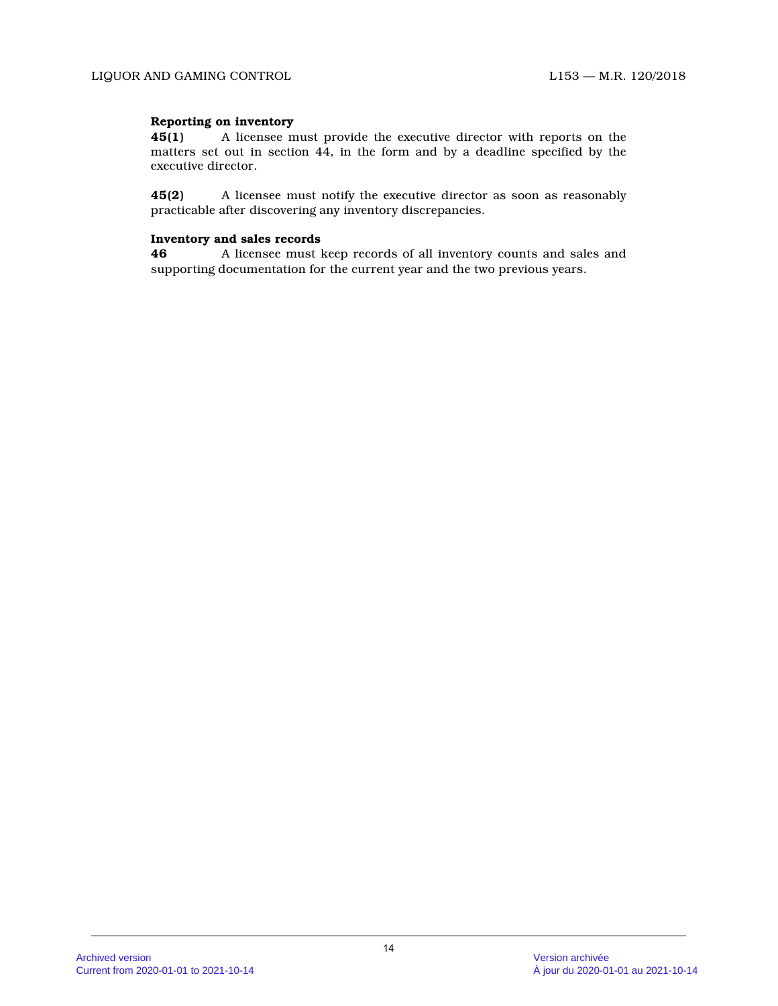# **Reporting on inventory**

**45(1)** A licensee must provide the executive director with reports on the matters set out in section 44, in the form and by a deadline specified by the executive director.

**45(2)** A licensee must notify the executive director as soon as reasonably practicable after discovering any inventory discrepancies.

# **Inventory and sales records**

**46** A licensee must keep records of all inventory counts and sales and supporting documentation for the current year and the two previous years.